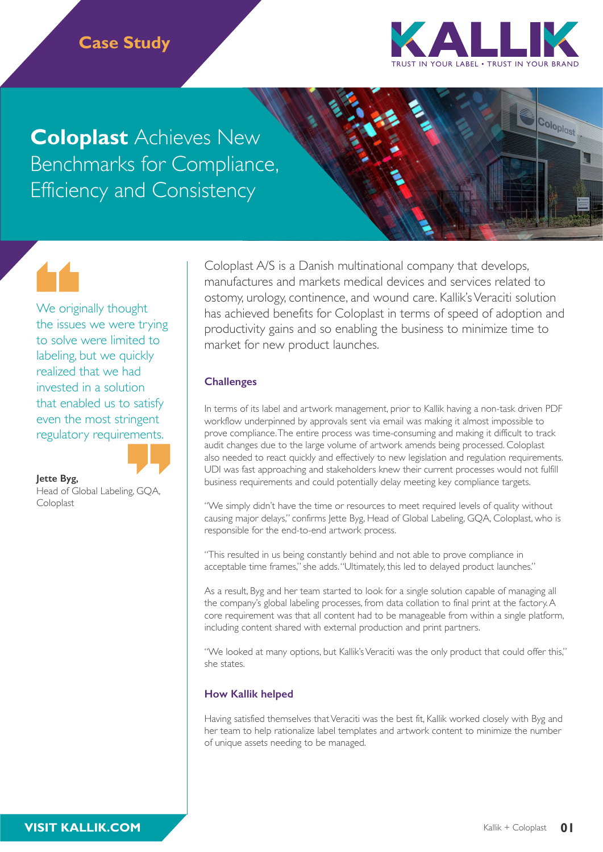# **Case Study**



Coloplast

**Coloplast** Achieves New Benchmarks for Compliance, Efficiency and Consistency

We originally thought the issues we were trying to solve were limited to labeling, but we quickly realized that we had invested in a solution that enabled us to satisfy even the most stringent regulatory requirements.



**Jette Byg,** 

Head of Global Labeling, GQA, Coloplast

Coloplast A/S is a Danish multinational company that develops, manufactures and markets medical devices and services related to ostomy, urology, continence, and wound care. Kallik's Veraciti solution has achieved benefits for Coloplast in terms of speed of adoption and productivity gains and so enabling the business to minimize time to market for new product launches.

### **Challenges**

In terms of its label and artwork management, prior to Kallik having a non-task driven PDF workflow underpinned by approvals sent via email was making it almost impossible to prove compliance. The entire process was time-consuming and making it difficult to track audit changes due to the large volume of artwork amends being processed. Coloplast also needed to react quickly and effectively to new legislation and regulation requirements. UDI was fast approaching and stakeholders knew their current processes would not fulfill business requirements and could potentially delay meeting key compliance targets.

"We simply didn't have the time or resources to meet required levels of quality without causing major delays," confirms Jette Byg, Head of Global Labeling, GQA, Coloplast, who is responsible for the end-to-end artwork process.

"This resulted in us being constantly behind and not able to prove compliance in acceptable time frames," she adds. "Ultimately, this led to delayed product launches."

As a result, Byg and her team started to look for a single solution capable of managing all the company's global labeling processes, from data collation to final print at the factory. A core requirement was that all content had to be manageable from within a single platform, including content shared with external production and print partners.

"We looked at many options, but Kallik's Veraciti was the only product that could offer this," she states.

### **How Kallik helped**

Having satisfied themselves that Veraciti was the best fit, Kallik worked closely with Byg and her team to help rationalize label templates and artwork content to minimize the number of unique assets needing to be managed.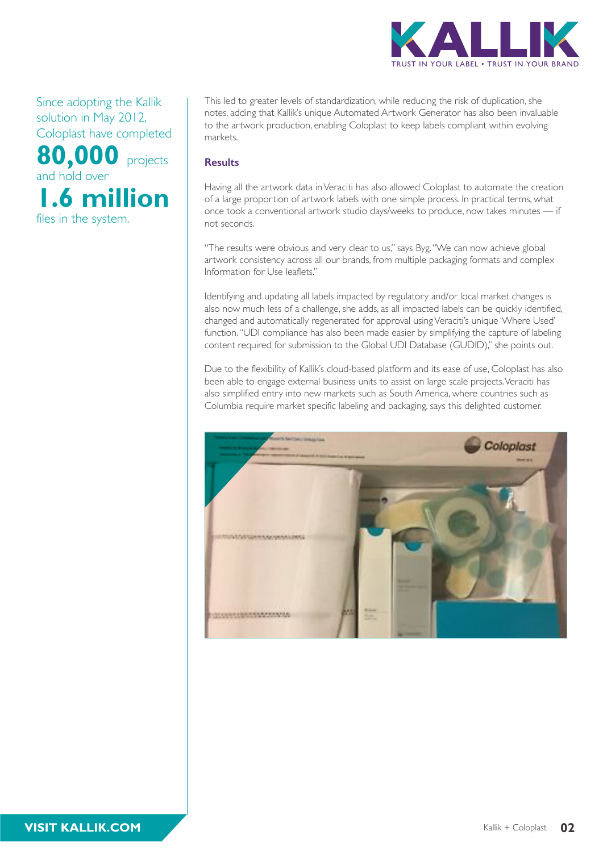

Since adopting the Kallik solution in May 2012, Coloplast have completed **80,000** projects

and hold over **1.6 million**  files in the system.

This led to greater levels of standardization, while reducing the risk of duplication, she notes, adding that Kallik's unique Automated Artwork Generator has also been invaluable to the artwork production, enabling Coloplast to keep labels compliant within evolving markets.

#### **Results**

Having all the artwork data in Veraciti has also allowed Coloplast to automate the creation of a large proportion of artwork labels with one simple process. In practical terms, what once took a conventional artwork studio days/weeks to produce, now takes minutes — if not seconds.

"The results were obvious and very clear to us," says Byg. "We can now achieve global artwork consistency across all our brands, from multiple packaging formats and complex Information for Use leaflets."

Identifying and updating all labels impacted by regulatory and/or local market changes is also now much less of a challenge, she adds, as all impacted labels can be quickly identified, changed and automatically regenerated for approval using Veraciti's unique 'Where Used' function. "UDI compliance has also been made easier by simplifying the capture of labeling content required for submission to the Global UDI Database (GUDID)," she points out.

Due to the flexibility of Kallik's cloud-based platform and its ease of use, Coloplast has also been able to engage external business units to assist on large scale projects. Veraciti has also simplified entry into new markets such as South America, where countries such as Columbia require market specific labeling and packaging, says this delighted customer.